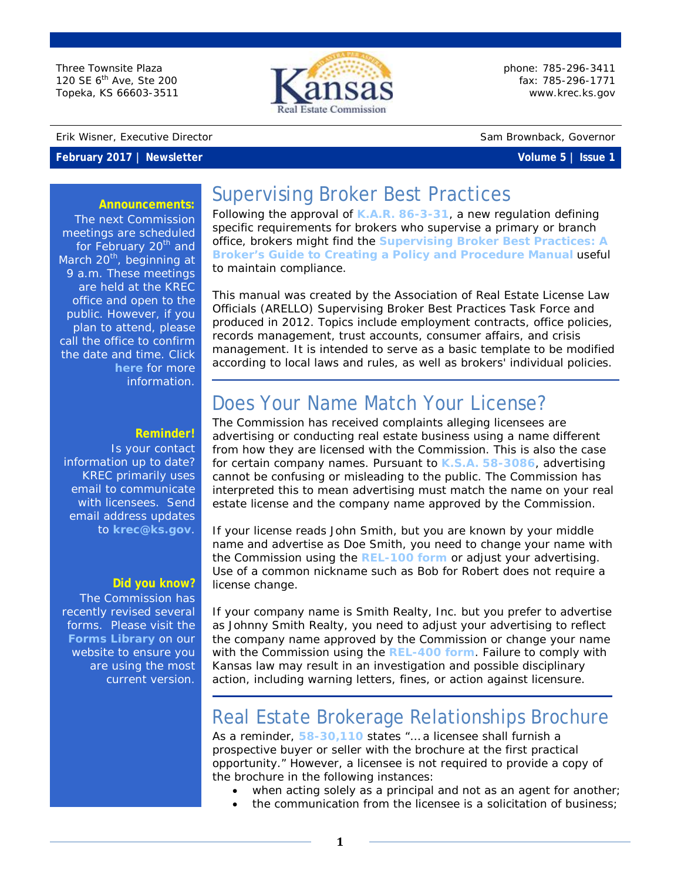Three Townsite Plaza 120 SE 6<sup>th</sup> Ave, Ste 200 Topeka, KS 66603-3511



phone: 785-296-3411 fax: 785-296-1771 [www.krec.ks.gov](http://www.krec.ks.gov/)

#### Erik Wisner, Executive Director Sam Brownback, Governor

### **February 2017 | Newsletter Volume 5 | Issue 1**

### **Announcements:**

The next Commission meetings are scheduled for February 20<sup>th</sup> and March  $20<sup>th</sup>$ , beginning at 9 a.m. These meetings are held at the KREC office and open to the public. However, if you plan to attend, please call the office to confirm the date and time. Click **[here](http://krec.ks.gov/commission/commission-meetings)** for more information.

### **Reminder!**

Is your contact information up to date? KREC primarily uses email to communicate with licensees. Send email address updates to **[krec@ks.gov](mailto:krec@ks.gov?subject=Email%20Address%20Update)**.

#### **Did you know?**

The Commission has recently revised several forms. Please visit the **[Forms Library](https://www.krec.ks.gov/form/library)** on our website to ensure you are using the most current version.

# Supervising Broker Best Practices

Following the approval of **[K.A.R. 86-3-31](https://www.krec.ks.gov/docs/default-source/default-document-library/kansas-real-estate-commission-statutes-rules-and-regulations.pdf?sfvrsn=13)**, a new regulation defining specific requirements for brokers who supervise a primary or branch office, brokers might find the **[Supervising Broker Best Practices: A](http://www.krec.ks.gov/docs/default-source/informational-documents/arello-supervising-broker-best-practices.pdf?sfvrsn=4)  [Broker's Guide to Creating a Policy and Procedure Manual](http://www.krec.ks.gov/docs/default-source/informational-documents/arello-supervising-broker-best-practices.pdf?sfvrsn=4)** useful to maintain compliance.

This manual was created by the Association of Real Estate License Law Officials (ARELLO) Supervising Broker Best Practices Task Force and produced in 2012. Topics include employment contracts, office policies, records management, trust accounts, consumer affairs, and crisis management. It is intended to serve as a basic template to be modified according to local laws and rules, as well as brokers' individual policies.

## Does Your Name Match Your License?

The Commission has received complaints alleging licensees are advertising or conducting real estate business using a name different from how they are licensed with the Commission. This is also the case for certain company names. Pursuant to **[K.S.A. 58-3086](https://www.krec.ks.gov/docs/default-source/default-document-library/kansas-real-estate-commission-statutes-rules-and-regulations.pdf?sfvrsn=13)**, advertising cannot be confusing or misleading to the public. The Commission has interpreted this to mean advertising must match the name on your real estate license and the company name approved by the Commission.

If your license reads John Smith, but you are known by your middle name and advertise as Doe Smith, you need to change your name with the Commission using the **[REL-100 form](https://www.krec.ks.gov/docs/default-source/forms/rel-100-licensee-name-or-contact-change.pdf?sfvrsn=16)** or adjust your advertising. Use of a common nickname such as Bob for Robert does not require a license change.

If your company name is Smith Realty, Inc. but you prefer to advertise as Johnny Smith Realty, you need to adjust your advertising to reflect the company name approved by the Commission or change your name with the Commission using the **[REL-400 form](http://www.krec.ks.gov/docs/default-source/forms/rec-400-company-name-or-contact-info-chg.pdf?sfvrsn=2)**. Failure to comply with Kansas law may result in an investigation and possible disciplinary action, including warning letters, fines, or action against licensure.

## Real Estate Brokerage Relationships Brochure

As a reminder, **[58-30,110](https://www.krec.ks.gov/docs/default-source/default-document-library/kansas-real-estate-commission-statutes-rules-and-regulations.pdf?sfvrsn=13)** states "… a licensee shall furnish a prospective buyer or seller with the brochure at the first practical opportunity." However, a licensee is not required to provide a copy of the brochure in the following instances:

- when acting solely as a principal and not as an agent for another;
- the communication from the licensee is a solicitation of business;